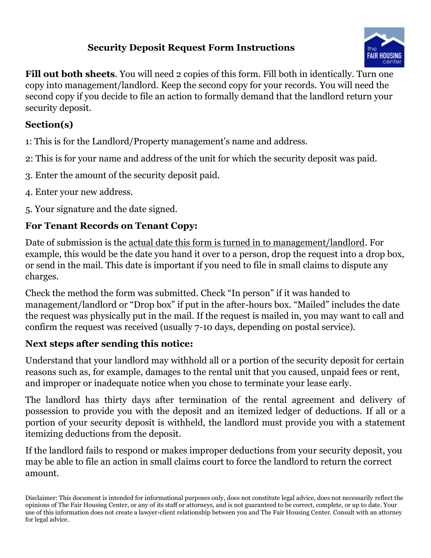### **Security Deposit Request Form Instructions**



**Fill out both sheets**. You will need 2 copies of this form. Fill both in identically. Turn one copy into management/landlord. Keep the second copy for your records. You will need the second copy if you decide to file an action to formally demand that the landlord return your security deposit.

#### **Section(s)**

1: This is for the Landlord/Property management's name and address.

- 2: This is for your name and address of the unit for which the security deposit was paid.
- 3. Enter the amount of the security deposit paid.
- 4. Enter your new address.
- 5. Your signature and the date signed.

### **For Tenant Records on Tenant Copy:**

Date of submission is the actual date this form is turned in to management/landlord. For example, this would be the date you hand it over to a person, drop the request into a drop box, or send in the mail. This date is important if you need to file in small claims to dispute any charges.

Check the method the form was submitted. Check "In person" if it was handed to management/landlord or "Drop box" if put in the after-hours box. "Mailed" includes the date the request was physically put in the mail. If the request is mailed in, you may want to call and confirm the request was received (usually 7-10 days, depending on postal service).

## **Next steps after sending this notice:**

Understand that your landlord may withhold all or a portion of the security deposit for certain reasons such as, for example, damages to the rental unit that you caused, unpaid fees or rent, and improper or inadequate notice when you chose to terminate your lease early.

The landlord has thirty days after termination of the rental agreement and delivery of possession to provide you with the deposit and an itemized ledger of deductions. If all or a portion of your security deposit is withheld, the landlord must provide you with a statement itemizing deductions from the deposit.

If the landlord fails to respond or makes improper deductions from your security deposit, you may be able to file an action in small claims court to force the landlord to return the correct amount.

Disclaimer: This document is intended for informational purposes only, does not constitute legal advice, does not necessarily reflect the opinions of The Fair Housing Center, or any of its staff or attorneys, and is not guaranteed to be correct, complete, or up to date. Your use of this information does not create a lawyer-client relationship between you and The Fair Housing Center. Consult with an attorney for legal advice.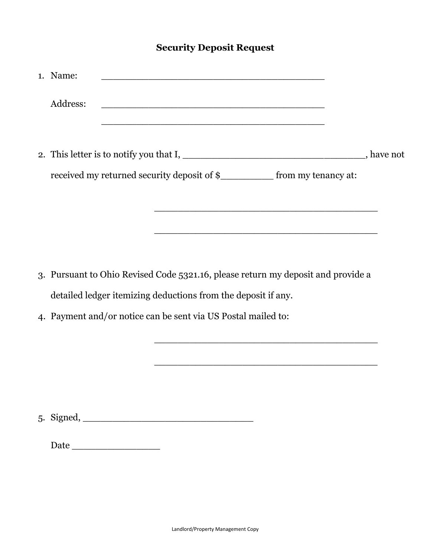#### **Security Deposit Request**

| 1. Name: |                                               |                                                                              |  |
|----------|-----------------------------------------------|------------------------------------------------------------------------------|--|
| Address: | <u> 1980 - Andrea Andrew Maria (h. 1980).</u> |                                                                              |  |
|          |                                               |                                                                              |  |
|          |                                               | , have not                                                                   |  |
|          |                                               | received my returned security deposit of \$_____________ from my tenancy at: |  |
|          |                                               |                                                                              |  |
|          |                                               |                                                                              |  |

3. Pursuant to Ohio Revised Code 5321.16, please return my deposit and provide a detailed ledger itemizing deductions from the deposit if any.

\_\_\_\_\_\_\_\_\_\_\_\_\_\_\_\_\_\_\_\_\_\_\_\_\_\_\_\_\_\_\_\_\_\_\_\_\_\_

\_\_\_\_\_\_\_\_\_\_\_\_\_\_\_\_\_\_\_\_\_\_\_\_\_\_\_\_\_\_\_\_\_\_\_\_\_\_

4. Payment and/or notice can be sent via US Postal mailed to:

5. Signed, \_\_\_\_\_\_\_\_\_\_\_\_\_\_\_\_\_\_\_\_\_\_\_\_\_\_\_\_\_